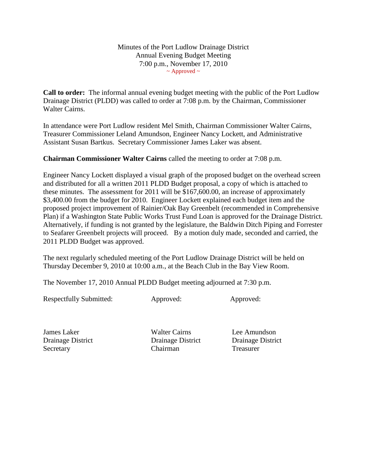Minutes of the Port Ludlow Drainage District Annual Evening Budget Meeting 7:00 p.m., November 17, 2010  $\sim$  Approved  $\sim$ 

**Call to order:** The informal annual evening budget meeting with the public of the Port Ludlow Drainage District (PLDD) was called to order at 7:08 p.m. by the Chairman, Commissioner Walter Cairns.

In attendance were Port Ludlow resident Mel Smith, Chairman Commissioner Walter Cairns, Treasurer Commissioner Leland Amundson, Engineer Nancy Lockett, and Administrative Assistant Susan Bartkus. Secretary Commissioner James Laker was absent.

**Chairman Commissioner Walter Cairns** called the meeting to order at 7:08 p.m.

Engineer Nancy Lockett displayed a visual graph of the proposed budget on the overhead screen and distributed for all a written 2011 PLDD Budget proposal, a copy of which is attached to these minutes. The assessment for 2011 will be \$167,600.00, an increase of approximately \$3,400.00 from the budget for 2010. Engineer Lockett explained each budget item and the proposed project improvement of Rainier/Oak Bay Greenbelt (recommended in Comprehensive Plan) if a Washington State Public Works Trust Fund Loan is approved for the Drainage District. Alternatively, if funding is not granted by the legislature, the Baldwin Ditch Piping and Forrester to Seafarer Greenbelt projects will proceed. By a motion duly made, seconded and carried, the 2011 PLDD Budget was approved.

The next regularly scheduled meeting of the Port Ludlow Drainage District will be held on Thursday December 9, 2010 at 10:00 a.m., at the Beach Club in the Bay View Room.

The November 17, 2010 Annual PLDD Budget meeting adjourned at 7:30 p.m.

Respectfully Submitted: Approved: Approved: Approved:

James Laker Walter Cairns Lee Amundson Drainage District Drainage District Drainage District Secretary Chairman Treasurer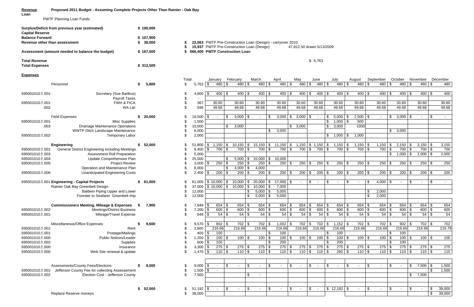## **Revenue Proposed 2011 Budget - Assuming Complete Projects Other Than Rainier - Oak Bay Loan**

PWTF Planning Loan Funds

| <b>Capital Reserve</b>                        | Surplus/Deficit from previous year (estimated)         |    | \$100,000 |       |                           |            |                                |                           |          |                           |                                            |                         |                                                             |                       |                     |                           |         |
|-----------------------------------------------|--------------------------------------------------------|----|-----------|-------|---------------------------|------------|--------------------------------|---------------------------|----------|---------------------------|--------------------------------------------|-------------------------|-------------------------------------------------------------|-----------------------|---------------------|---------------------------|---------|
| <b>Balance Forward</b>                        |                                                        |    | \$107,900 |       |                           |            |                                |                           |          |                           |                                            |                         |                                                             |                       |                     |                           |         |
| Revenue other than assessment                 |                                                        | S  | 38,000    |       |                           |            |                                |                           |          |                           |                                            |                         | 22,063 PWTF Pre-Construction Loan (Design) - carryover 2010 |                       |                     |                           |         |
|                                               | Assessment (amount needed to balance the budget)       |    | \$167,600 | S     |                           |            | 666,400 PWTF Construction Loan |                           |          |                           | 15,937 PWTF Pre-Construction Loan (Design) |                         |                                                             |                       | 47,812.50 drawn 5/1 |                           |         |
| <b>Total Revenue</b><br><b>Total Expenses</b> |                                                        |    | \$313,500 |       |                           |            |                                |                           |          |                           |                                            |                         |                                                             |                       |                     |                           | \$5,763 |
| <b>Expenses</b>                               |                                                        |    |           |       |                           |            |                                |                           |          |                           |                                            |                         |                                                             |                       |                     |                           |         |
|                                               |                                                        |    |           | Total |                           |            | January                        |                           | February |                           | March                                      |                         | April                                                       |                       | May                 |                           | June    |
|                                               | Personnel                                              | S  | 5,800     | \$    |                           |            | 480                            | $\frac{1}{2}$             | 480      | \$                        | 480 \$                                     |                         | 480                                                         | \$                    | 480                 | \$                        | 480     |
| 695001010.5.001                               | Secretary (Sue Bartkus)                                |    |           | \$    | 4,800                     | \$         | 400                            | \$                        | 400      | \$                        | 400                                        | \$                      | 400                                                         | $\boldsymbol{\theta}$ | 400                 | \$                        | 400     |
|                                               | Payroll Taxes                                          |    |           | \$    |                           |            |                                |                           |          |                           |                                            |                         |                                                             |                       |                     |                           |         |
| 695001010.5.001                               | <b>FWH &amp; FICA</b>                                  |    |           | \$    | 367                       |            | 30.60                          |                           | 30.60    |                           | 30.60                                      |                         | 30.60                                                       |                       | 30.60               |                           | 30.60   |
| .002                                          | WA L&I                                                 |    |           | \$    | 596                       |            | 49.68                          |                           | 49.68    |                           | 49.68                                      |                         | 49.68                                                       |                       | 49.68               |                           | 49.68   |
|                                               | <b>Field Expenses</b>                                  | S  | 20,000    | \$    | 19,500                    | $\sqrt{3}$ |                                | \$                        | 3,000    | -\$                       | $\blacksquare$                             | \$                      | 3,000                                                       | \$                    | 3,000               | \$                        |         |
| 695001010.5.001                               | <b>Misc Supplies</b>                                   |    |           | \$    | 1,500                     |            |                                |                           |          |                           |                                            |                         |                                                             |                       |                     |                           |         |
| .003                                          | Drainage Maintenance Operations                        |    |           | \$    | 10,000                    |            |                                | \$                        | 3,000    |                           |                                            |                         |                                                             | \$                    | 3,000               |                           |         |
|                                               | WWTP Ditch Landscape Maintenance                       |    |           |       | 6,000                     |            |                                |                           |          |                           |                                            | \$                      | 3,000                                                       |                       |                     |                           |         |
| 695001010.5.002                               | <b>Temporary Labor</b>                                 |    |           | \$    | 2,000                     |            |                                |                           |          |                           |                                            |                         |                                                             |                       |                     |                           |         |
|                                               | <b>Engineering</b>                                     | S  | 52,000    | \$    | 51,800                    | $\sqrt{3}$ | 1,150                          | $\sqrt[6]{2}$             | 10,150   | \$                        | 15,150                                     | \$                      | 11,150                                                      | \$                    | 1,150               | \$                        | 1,150   |
| 695001010.5.001                               | <b>General District Engineering including Meetings</b> |    |           | \$    | 8,400                     | $\sqrt{3}$ | 700                            | $\overline{\mathbf{3}}$   | 700      | $\sqrt{3}$                | 700 \$                                     |                         | 700                                                         | $\mathfrak{F}$        | 700                 | \$                        | 700     |
| 695001010.5.003                               | Assessment Roll Preparation                            |    |           | \$    | 5,000                     |            |                                |                           |          |                           |                                            |                         |                                                             |                       |                     |                           |         |
| 695001010.5.004                               | Update Comprehensive Plan                              |    |           | \$    | 25,000                    |            |                                | \$                        | 5,000    | \$                        | 10,000                                     | \$                      | 10,000                                                      |                       |                     |                           |         |
| 695001010.5.005                               | <b>Project Review</b>                                  |    |           |       | 3,000                     | $\sqrt{3}$ | 250                            | $\sqrt[6]{\frac{1}{2}}$   | 250      | \$                        | $250$ \$                                   |                         | 250                                                         | \$                    | 250                 | \$                        | 250     |
|                                               | Operation and Maintenance Plan                         |    |           |       | 8,000                     |            |                                | \$                        | 4,000    | \$                        | 4,000                                      |                         |                                                             |                       |                     |                           |         |
| 695001010.5.006                               | <b>Unanticipated Engineering Costs</b>                 |    |           |       | 2,400                     | \$         | 200                            | $\sqrt[6]{\frac{1}{2}}$   | 200      | \$                        | $200$ \$                                   |                         | 200                                                         | \$                    | 200                 | \$                        | 200     |
|                                               | 695001010.5.001 Engineering - Capital Projects         | \$ | 61,000    |       | 61,000                    |            | \$10,000                       | \$                        | 10,000   | $\sqrt{3}$                | 20,000                                     | $\sqrt{3}$              | 17,000                                                      | \$                    | $\blacksquare$      | \$                        |         |
|                                               | Rainier Oak Bay Greenbelt Design                       |    |           |       | 37,000                    |            | $$10,000$ \$                   |                           | 10,000   | $\sqrt[6]{3}$             | $10,000$   \$                              |                         | 7,000                                                       |                       |                     |                           |         |
|                                               | Baldwin Piping Upper and Lower                         |    |           | \$    | 12,000                    |            |                                |                           |          | \$                        | $5,000$ \$                                 |                         | 5,000                                                       |                       |                     |                           |         |
|                                               | Forester to Seafarer Greenbelt Imp                     |    |           | \$    | 12,000                    |            |                                |                           |          | \$                        | $5,000$ \$                                 |                         | 5,000                                                       |                       |                     |                           |         |
|                                               | <b>Commissioners Meeting, Mileage &amp; Expenses</b>   | \$ | 7,900     |       | $7,848$ \$                |            | 654                            | \$                        | 654      | $\sqrt{3}$                | $654$ \$                                   |                         | 654                                                         | -\$                   | 654                 | \$                        | 654     |
| 695001010.5.002                               | <b>Meetings/District Business</b>                      |    |           |       | 7,200                     | । \$       | 600                            | $\overline{\mathfrak{s}}$ | 600      | $\overline{\mathfrak{s}}$ | 600                                        | $\sqrt{3}$              | 600                                                         | $\boldsymbol{\theta}$ | 600                 | $\boldsymbol{\mathsf{S}}$ | 600     |
| 695001010.5.001                               | Mileage/Travel Expense                                 |    |           | \$    | 648                       | $\sqrt{3}$ | 54                             | $\sqrt[6]{\frac{1}{2}}$   | 54       | $\sqrt{3}$                |                                            |                         | 54                                                          | $\mathfrak{F}$        | 54                  | \$                        | 54      |
|                                               | Miscellaneous/Office Expenses                          |    | 9,600     |       | $9,570$   $\overline{\$}$ |            | $902$ \$                       |                           | 702      | \$                        | 702 \$                                     |                         | 1,002                                                       | - \$                  | 702                 | \$                        | 702     |
| 695001010.5.001                               | Rent                                                   |    |           |       | 2,600                     |            | 216.66                         |                           | 216.66   |                           | 216.66                                     |                         | 216.66                                                      |                       | 216.66              |                           | 216.6   |
| 695001010.5.001                               | Postage/Mailings                                       |    |           |       | 400                       | $\sqrt{3}$ | 100                            |                           |          |                           |                                            | $\frac{1}{2}$           | 100                                                         |                       |                     |                           |         |
| 695001010.5.000                               | <b>Public Notices/Leader</b>                           |    |           |       | 1,200                     | ⊺\$        | 100                            | $\sqrt[6]{\frac{1}{2}}$   | 100      | \$                        | 100                                        | $\sqrt[6]{\frac{1}{2}}$ | 100                                                         | $\boldsymbol{\theta}$ | 100                 | \$                        | 100     |
| 695001010.5.002                               | Supplies                                               |    |           |       | 600                       | \$         | 100                            |                           |          |                           |                                            | $\sqrt{2}$              | 200                                                         |                       |                     |                           |         |
| 695001010.5.000                               | Insurance                                              |    |           |       | $3,300$ \$                |            | 275                            | \$                        | 275      | \$                        | $275$ \$                                   |                         | 275                                                         | $\sqrt{3}$            | 275                 | \$                        | 275     |
| 695001010.5.000                               | Web Site renewal & update                              |    |           | \$    | $1,470$ \$                |            | 110S                           |                           | 110      | \$                        | $110$ \ \$                                 |                         | 110                                                         | (€                    | $110$ \$            |                           | 110     |
|                                               |                                                        |    |           |       |                           |            |                                |                           |          |                           |                                            |                         |                                                             |                       |                     |                           |         |
|                                               | Assessments/County Fees/Elections                      |    | 9,000     | \$    | $9,000$ \$                |            |                                | \$                        |          | $\sqrt[6]{\frac{1}{2}}$   | $\blacksquare$                             | \$                      | $\blacksquare$                                              | \$                    | $\blacksquare$      | \$                        |         |
| 695001010.5.001                               | Jefferson County Fee for collecting Assessement        |    |           |       | 1,500                     | $\sqrt{3}$ | $\blacksquare$                 |                           |          |                           |                                            |                         |                                                             |                       |                     |                           |         |
| 695001010.5.002                               | Election Cost - Jefferson County                       |    |           | \$    | 7,500                     |            |                                |                           |          | \$                        | $\blacksquare$                             |                         |                                                             |                       |                     |                           |         |
|                                               |                                                        |    |           |       |                           |            |                                |                           |          |                           |                                            |                         |                                                             |                       |                     |                           |         |
|                                               |                                                        |    |           |       |                           |            |                                |                           |          |                           |                                            |                         |                                                             |                       |                     |                           |         |

**8 22,063** PWTF Pre-Construction Loan (Design) - carryover 2010<br>**\$ 15,937** PWTF Pre-Construction Loan (Design) 47,812.50 drawn 5/13/2009 \$ 15,937 PWTF Pre-Construction Loan (Design)

| пуреносэ             |                                                        |      |        |            |                |            |                |          |                   |               |                         |                   |            |                  |                        |                       |                  |        |          |                       |               |                  |             |               |                 |
|----------------------|--------------------------------------------------------|------|--------|------------|----------------|------------|----------------|----------|-------------------|---------------|-------------------------|-------------------|------------|------------------|------------------------|-----------------------|------------------|--------|----------|-----------------------|---------------|------------------|-------------|---------------|-----------------|
|                      | Personnel                                              |      | 5,800  | Total<br>S | $5,763$ \$     | January    | $480$ \$       | February | $480$ \$          | March         | 480 \$                  | April<br>$480$ \$ |            | Mav<br>480       | June<br>$\frac{1}{2}$  | 480 \$                | July<br>480 \$   | August | 480 \$   | September<br>480      | $\sqrt[6]{2}$ | October<br>480 S | November    | $480$ \$      | December<br>480 |
|                      |                                                        |      |        |            |                |            |                |          |                   |               |                         |                   |            |                  |                        |                       |                  |        |          |                       |               |                  |             |               |                 |
| 695001010.5.001      | Secretary (Sue Bartkus)                                |      |        |            | 4,800          | l \$       | $400$ \$       |          | $400$ \$          |               | $400  $ \$              | $400$ \ \$        |            | 400              | \$                     | 400 S                 | $400$ \$         |        | $400$ \$ | 400 S                 |               | $400$ \$         |             | $400$ \$      | 400             |
|                      | Payroll Taxes                                          |      |        |            |                |            |                |          |                   |               |                         |                   |            |                  |                        |                       |                  |        |          |                       |               |                  |             |               |                 |
| 695001010.5.001      | <b>FWH &amp; FICA</b>                                  |      |        |            | 367            |            | 30.60          |          | 30.60             | 30.60         |                         | 30.60             |            | 30.60            | 30.60                  |                       | 30.60            | 30.60  |          | 30.60                 |               | 30.60            | 30.60       |               | 30.60           |
| .002                 | WA L&I                                                 |      |        |            | 596            |            | 49.68          |          | 49.68             | 49.68         |                         | 49.68             |            | 49.68            | 49.68                  |                       | 49.68            | 49.68  |          | 49.68                 |               | 49.68            | 49.68       |               | 49.68           |
|                      |                                                        |      |        |            |                |            |                |          |                   |               |                         |                   |            |                  |                        |                       |                  |        |          |                       |               |                  |             |               |                 |
|                      | <b>Field Expenses</b>                                  | S    | 20,000 |            | 19,500         | IS.        |                | \$.      | 3,000<br>l S      |               |                         | 3,000             | \$         | 3,000            | \$                     |                       | $$5,000$ \$      | 2,500  |          | - \$                  | \$            | 3,000<br>\$      |             | \$            |                 |
| 695001010.5.001      | <b>Misc Supplies</b>                                   |      |        |            | 1,500          |            |                |          |                   |               |                         |                   |            |                  |                        | $\mathsf{\$}$         | $1,000$ \$       |        | 500      |                       |               |                  |             |               |                 |
| .003                 | Drainage Maintenance Operations                        |      |        |            | 10,000         |            |                | \$       | 3,000             |               |                         |                   | \$         | 3,000            |                        |                       | \$3,000          |        | 1000     |                       |               |                  |             |               |                 |
|                      | WWTP Ditch Landscape Maintenance                       |      |        |            | 6,000          |            |                |          |                   |               | \$                      | 3,000             |            |                  |                        |                       |                  |        |          |                       | \$            | 3,000            |             |               |                 |
| 695001010.5.002      | <b>Temporary Labor</b>                                 |      |        |            | 2,000          |            |                |          |                   |               |                         |                   |            |                  |                        |                       | $$1,000$ \$      | 1,000  |          |                       |               |                  |             |               |                 |
|                      |                                                        |      |        |            |                |            |                |          |                   |               |                         |                   |            |                  |                        |                       |                  |        |          |                       |               |                  |             |               |                 |
|                      | <b>Engineering</b>                                     |      | 52,000 |            | 51,800         | \$         | $1,150$ \$     |          | $10,150$ \$       | $15,150$ \ \$ |                         | 11,150            | \$         | 1,150            | $$1,150$ \ \$          |                       | $1,150$ \$       | 1,150  |          | 1,150<br>  \$         | \$            | 2,150<br>\$      | 3,150       | -\$           | 3,150           |
| 001. £.001010. 69500 | <b>General District Engineering including Meetings</b> |      |        |            | 8,400          | $\sqrt{3}$ | $700$ \$       |          | 700<br>$\sqrt{3}$ |               | 700 \$                  | 700               |            | 700              | $\mathfrak{L}$         | 700<br>\$             | 700 \$           |        | 700      | 700<br>-\$            | \$            | 700              | 700<br>\$   | \$            | 700             |
| 695001010.5.003      | Assessment Roll Preparation                            |      |        |            | 5,000          |            |                |          |                   |               |                         |                   |            |                  |                        |                       |                  |        |          |                       | \$            | 1,000<br>\$      | 2,000       | -\$           | 2,000           |
| 695001010.5.004      | Update Comprehensive Plan                              |      |        |            | 25,000         |            |                | \$.      | 5,000<br>- \$     | 10,000        | $\sqrt{3}$              | 10,000            |            |                  |                        |                       |                  |        |          |                       |               |                  |             |               |                 |
| 695001010.5.005      | <b>Project Review</b>                                  |      |        |            | 3,000          | \$         | $250$ \$       |          | 250               | 250           | $\sqrt[6]{2}$           | 250               |            | 250              | \$                     | 250<br>-\$            | $250$ \$         |        | 250      | 250<br>∣\$            | \$            | 250              | 250<br>\$.  | - \$          | 250             |
|                      | Operation and Maintenance Plan                         |      |        |            | 8,000          |            |                |          | 4,000<br>- \$     | 4,000         |                         |                   |            |                  |                        |                       |                  |        |          |                       |               |                  |             |               |                 |
| 695001010.5.006      | <b>Unanticipated Engineering Costs</b>                 |      |        |            | 2,400          | l \$       | $200$ \$       |          | 200<br>- \$       |               | 200<br>$\sqrt{3}$       | 200               | - \$       | $\overline{200}$ | \$                     | 200<br>\$             | $200$ \$         |        | $200$ \$ | 200                   | \$            | 200<br>\$        | 200         | l \$          | 200             |
|                      |                                                        |      |        |            |                |            |                |          |                   |               |                         |                   |            |                  |                        |                       |                  |        |          |                       |               |                  |             |               |                 |
|                      | 695001010.5.001 Engineering - Capital Projects         | S.   | 61,000 |            | 61,000         |            | $$10,000$ \ \$ |          | 10,000<br>-S      | 20,000        | \$                      | 17,000            | -\$        |                  | \$<br>$\sim$           | \$                    |                  |        |          | 4,000<br>\$           | \$            |                  |             | -S            |                 |
|                      | Rainier Oak Bay Greenbelt Design                       |      |        |            | 37,000         |            | $$10,000$ \ \$ |          | 10,000<br>l \$    | 10,000        | \$                      | 7,000             |            |                  |                        |                       |                  |        |          |                       |               |                  |             |               |                 |
|                      | Baldwin Piping Upper and Lower                         |      |        |            | 12,000         |            |                |          | S                 | 5,000         | \$                      | 5,000             |            |                  |                        |                       |                  |        |          | 2,000<br>\$           |               |                  |             |               |                 |
|                      | Forester to Seafarer Greenbelt Imp                     |      |        |            | 12,000         |            |                |          |                   | 5,000         | \$                      | 5,000             |            |                  |                        |                       |                  |        |          | 2,000<br>\$           |               |                  |             |               |                 |
|                      |                                                        |      |        |            |                |            |                |          |                   |               |                         |                   |            |                  |                        |                       |                  |        |          |                       |               |                  |             |               |                 |
|                      | <b>Commissioners Meeting, Mileage &amp; Expenses</b>   | - \$ | 7,900  |            | $7,848$ \ \ \$ |            | 654 \$         |          | 654 \$            |               | $654$ \$                | 654               |            | 654              | \$                     | 654                   | 654 \$           |        | 654      | 654<br>  \$           | \$            | 654<br>\$        | 654         | l \$          | 654             |
| 695001010.{.002      | Meetings/District Business                             |      |        |            | 7,200          | <b>S</b>   | $600$ \$       |          | 600<br><b>S</b>   | 600           | $\sqrt[6]{\frac{1}{2}}$ | 600               |            | 600              | \$                     | 600                   | $600$ \$         |        | 600      | 600<br>$\sqrt{3}$     | \$            | 600<br>\$        | 600         | $\sqrt[6]{3}$ | 600             |
| 695001010.5.001      | Mileage/Travel Expense                                 |      |        |            | 648            | l \$       |                |          | $54$ \ $$$        |               | $54$ \ $\sqrt$          | 54                | -\$        | $\overline{54}$  | \$                     | $\overline{54}$<br>\$ | $54$ \ $\sqrt$$  |        | 54       | $\overline{54}$<br>\$ | \$            | 54<br>\$.        |             | 54<br>\$      | 54              |
|                      |                                                        |      |        |            |                |            |                |          |                   |               |                         |                   |            |                  |                        |                       |                  |        |          |                       |               |                  |             |               |                 |
|                      | Miscellaneous/Office Expenses                          |      | 9,600  |            | $9,570$   \$   |            | $902$ \$       |          | 702 \$            |               | $702$ \$                | 1,002             | - 5        | 702              | \$                     | 702 \$                | $1,152$ \$       |        | 702      | 702<br>l \$           | \$            | 902              | \$.         | $702$ \$      | 702             |
| 695001010.£.001      | Rent                                                   |      |        |            | 2,600          |            | 216.66         |          | 216.66            | 216.66        |                         | 216.66            |            | 216.66           | 216.66                 |                       | 216.66           | 216.66 |          | 216.66                |               | 216.66           | 216.66      |               | 216.79          |
| 695001010.5.001      | Postage/Mailings                                       |      |        |            | 400            | l \$       | 100            |          |                   |               | S.                      | 100               |            |                  |                        | \$                    | 100              |        |          |                       | \$            | 100              |             |               |                 |
| 695001010.5.000      | <b>Public Notices/Leader</b>                           |      |        |            | 1,200          | l \$       | $100$ \$       |          | $100$ \$          | 100           | \$                      | 100               |            | 100              | \$                     | 100<br>\$             | $100$ \$         |        | 100      | 100<br>  \$           | \$            | 100              |             | $100$ \$      | 100             |
| 695001010.5.002      | Supplies                                               |      |        |            | 600            | l \$       | 100            |          |                   |               |                         | $\overline{200}$  |            |                  |                        |                       | $\overline{200}$ |        |          |                       |               | 100              |             |               |                 |
| 695001010.5.000      | Insurance                                              |      |        |            | 3,300          | l \$       | $275$ \$       |          | $275$ \$          |               | $275$ \$                | 275               | $\sqrt{3}$ | $275$ \$         |                        | 275<br>\$             | $275$ \$         |        | $275$ \$ | 275                   | \$            | 275<br>\$        |             | $275$ \$      | 275             |
| 695001010.5.000      | Web Site renewal & update                              |      |        |            | $1,470$ \$     |            | $110$ \$       |          | 110S              |               | 110S                    | $110$ \$          |            |                  | $110$ \$ 110 \$        |                       | $260$ \$         |        | $110$ \$ | 110S                  |               | $110$ \$         |             | $110$ \$      | 110             |
|                      |                                                        |      |        |            |                |            |                |          |                   |               |                         |                   |            |                  |                        |                       |                  |        |          |                       |               |                  |             |               |                 |
|                      |                                                        |      |        |            |                |            |                |          |                   |               |                         |                   |            |                  |                        |                       |                  |        |          |                       |               |                  |             |               |                 |
|                      | Assessments/County Fees/Elections                      |      | 9,000  |            | $9,000$ \$     |            |                | \$       | $\mathfrak{L}$    |               | \$                      |                   | \$         |                  | $\mathbb{S}$<br>$\sim$ | \$                    |                  | \$     |          | $\sqrt[6]{2}$         | \$            |                  | \$          | $7,500$ \$    | 1,500           |
| 695001010.5.001      | Jefferson County Fee for collecting Assessement        |      |        |            | $1,500$ \$     |            |                |          |                   |               |                         |                   |            |                  |                        |                       |                  |        |          |                       |               |                  |             | \$            | 1,500           |
| 695001010.5.002      | Election Cost - Jefferson County                       |      |        |            | 7,500          |            |                |          | \$                | $\sim$        |                         |                   |            |                  |                        |                       |                  |        |          |                       |               |                  | 7,500<br>\$ |               |                 |
|                      |                                                        |      |        |            |                |            |                |          |                   |               |                         |                   |            |                  |                        |                       |                  |        |          |                       |               |                  |             |               |                 |
|                      |                                                        |      |        |            |                |            |                |          |                   |               |                         |                   |            |                  |                        |                       |                  |        |          |                       |               |                  |             |               |                 |
|                      |                                                        | \$   | 52,000 |            |                |            |                | \$.      | \$                |               | \$                      |                   |            |                  | \$<br>$\sim$           |                       | $$12,192$ \ \$   |        |          | \$                    | \$            |                  | \$          |               | 39,000          |
|                      | Replace Reserve moneys                                 |      |        | \$         | 38,000         |            |                |          |                   |               |                         |                   |            |                  |                        |                       |                  |        |          |                       |               |                  |             | \$            | 39,000          |
|                      |                                                        |      |        |            |                |            |                |          |                   |               |                         |                   |            |                  |                        |                       |                  |        |          |                       |               |                  |             |               |                 |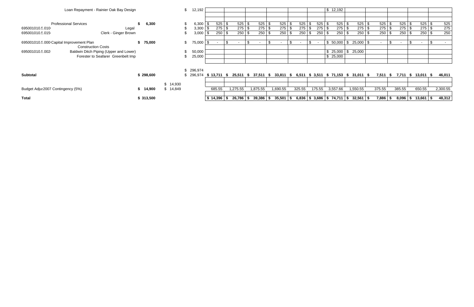| Loan Repayment - Rainier Oak Bay Design                               |           |          |                          | 12,192       |                |          |                       |             |             |                |                  | \$12,192                      |                                                                                 |                          |            |                             |                      |             |          |
|-----------------------------------------------------------------------|-----------|----------|--------------------------|--------------|----------------|----------|-----------------------|-------------|-------------|----------------|------------------|-------------------------------|---------------------------------------------------------------------------------|--------------------------|------------|-----------------------------|----------------------|-------------|----------|
|                                                                       |           |          |                          |              |                |          |                       |             |             |                |                  |                               |                                                                                 |                          |            |                             |                      |             |          |
|                                                                       |           |          |                          |              |                |          |                       |             |             |                |                  |                               |                                                                                 |                          |            |                             |                      |             |          |
| <b>Professional Services</b>                                          | 6,300     |          |                          | $6,300$ \ \$ | $525$ \$       | $525$ \$ |                       | 525<br>\$   | $525$ \$    | 525            | 525<br>- \$      | $525$ \$                      | $525$ \$                                                                        |                          | 525        | $525$ \$                    |                      | 525<br>∣\$. | 525      |
| 695001010.5.010<br>Legal                                              |           |          |                          | $3,300$ \$   | $275$ \$       |          |                       | 275<br>- \$ | $275$ \$    | 275            | $275$ \$<br>-\$  | $275$ \$                      | $275$ \$                                                                        |                          | 275        | $275$ \$                    |                      | $275$ \$    | 275      |
| 695001010.5.015<br>Clerk - Ginger Brown                               |           |          |                          | $3,000$ \$   | $250$ \$       |          |                       | 250<br>- \$ |             | 250            | $250$ \$<br>l \$ | $250$ \$                      | $250$ \$                                                                        |                          | 250        | $250$ \$                    |                      | 250<br>l \$ | 250      |
|                                                                       |           |          |                          |              |                |          |                       |             |             |                |                  |                               |                                                                                 |                          |            |                             |                      |             |          |
| 695001010.5.000 Capital Improvement Plan<br><b>Construction Costs</b> | \$75,000  |          | \$.                      | 75,000 \$    |                | $\sim$   | - \$<br>$\sim$        | -S          | $\sim$      | - \$<br>$\sim$ | \$<br>$\sim$     | $$50,000$ \ \$                | $25,000$ \$                                                                     | $\overline{\phantom{a}}$ | \$         | $\blacksquare$              | S<br>$\sim$          |             |          |
| 695001010.5.002<br>Baldwin Ditch Piping (Upper and Lower)             |           |          |                          | 50,000       |                |          |                       |             |             |                |                  | \$25,000                      | 25,000<br>\$                                                                    |                          |            |                             |                      |             |          |
| Forester to Seafarer Greenbelt Imp                                    |           |          |                          | 25,000       |                |          |                       |             |             |                |                  | \$25,000                      |                                                                                 |                          |            |                             |                      |             |          |
|                                                                       |           |          |                          |              |                |          |                       |             |             |                |                  |                               |                                                                                 |                          |            |                             |                      |             |          |
|                                                                       |           |          |                          |              |                |          |                       |             |             |                |                  |                               |                                                                                 |                          |            |                             |                      |             |          |
| <b>Subtotal</b>                                                       | \$298,600 |          | \$ 296,974<br>\$ 296,974 |              |                |          |                       |             |             |                |                  |                               | \$13,711 \$ 25,511 \$ 37,511 \$ 33,811 \$ 6,511 \$ 3,511 \$ 71,153 \$ 31,011 \$ |                          |            | 7,511 \$ 7,711 \$ 13,011 \$ |                      |             | 46,011   |
|                                                                       |           |          |                          |              |                |          |                       |             |             |                |                  |                               |                                                                                 |                          |            |                             |                      |             |          |
|                                                                       |           | \$14,930 |                          |              |                |          |                       |             |             |                |                  |                               |                                                                                 |                          |            |                             |                      |             |          |
| Budget Adju: 2007 Contingency (5%)                                    | \$14,900  | \$14,849 |                          |              | 685.55         | 1,275.55 | 1,875.55              |             | 1,690.55    | 325.55         | 175.55           | 3,557.66                      | 1,550.55                                                                        | 375.55                   |            | 385.55                      | 650.55               |             | 2,300.55 |
|                                                                       |           |          |                          |              |                |          |                       |             |             |                |                  |                               |                                                                                 |                          |            |                             |                      |             |          |
| <b>Total</b>                                                          | \$313,500 |          |                          |              | $$14,396$ \ \$ |          | $26,786$ \$ 39,386 \$ |             | $35,501$ \$ |                |                  | $6,836$ \$ 3,686 \$ 74,711 \$ | $32,561$ $\sqrt{ }$                                                             |                          | $7,886$ \$ |                             | $8,096$ \$ 13,661 \$ |             | 48,312   |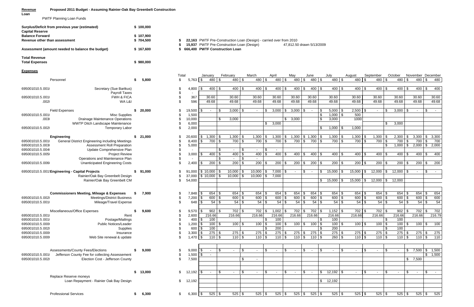## **RevenueProposed 2011 Budget - Assuming Rainier-Oak Bay Greenbelt Construction**

**Loan**

PWTF Planning Loan Funds

| Surplus/Deficit from previous year (estimated)<br><b>Capital Reserve</b> | \$100,000    |
|--------------------------------------------------------------------------|--------------|
| <b>Balance Forward</b>                                                   | \$107,900    |
| Revenue other than assessment                                            | \$704,500    |
| Assessment (amount needed to balance the budget)                         | \$167,600    |
| <b>Total Revenue</b>                                                     |              |
| <b>Total Expenses</b>                                                    | 980,000<br>S |

**8 22,163** PWTF Pre-Construction Loan (Design) - carried over from 2010<br>**\$ 15,937** PWTF Pre-Construction Loan (Design) 47,812.50 drawn 5/13/2009 \$ 15,937 PWTF Pre-Construction Loan (Design)

**Assessment (amount needed to balance the budget) 167,600 \$ 666,400 \$ PWTF Construction Loan** 

**Expenses**

|                 |                                                        |     |           | Total |             | January              |                | February                | March           | April               | May          |                   | June           | July              | August               |          | September    |          | October  |      |          | November December    |                 |
|-----------------|--------------------------------------------------------|-----|-----------|-------|-------------|----------------------|----------------|-------------------------|-----------------|---------------------|--------------|-------------------|----------------|-------------------|----------------------|----------|--------------|----------|----------|------|----------|----------------------|-----------------|
|                 | Personnel                                              | \$. | 5,800     | \$    | $5,763$ \$  |                      | $480$ \$       | $480$ \$                | 480 \$          | 480 \$              |              | 480S              | $480$ \$       | $480 - $$         |                      | $480$ \$ | 480 \$       |          | 480 \$   |      | $480$ \$ | 480                  |                 |
|                 |                                                        |     |           |       |             |                      |                |                         |                 |                     |              |                   |                |                   |                      |          |              |          |          |      |          |                      |                 |
| 695001010.5.001 | Secretary (Sue Bartkus)<br>Payroll Taxes               |     |           |       | 4,800       |                      | $400$ \ \$     | $400$ \$                | $400$ \$        | $400$ \$            |              | $400 \, \text{S}$ | 400 S          | $400 \, \text{S}$ |                      | 400 \$   | $400$ \$     |          | $400$ \$ |      | $400$ \$ | 400                  |                 |
| 695001010.5.001 | <b>FWH &amp; FICA</b>                                  |     |           |       | 367         | 30.60                |                | 30.60                   | 30.60           | 30.60               | 30.60        |                   | 30.60          | 30.60             | 30.60                |          | 30.60        |          | 30.60    |      | 30.60    | 30.60                |                 |
| .002(           | WA L&I                                                 |     |           |       | 596         | 49.68                |                | 49.68                   | 49.68           | 49.68               | 49.68        |                   | 49.68          | 49.68             | 49.68                |          | 49.68        |          | 49.68    |      | 49.68    | 49.68                |                 |
|                 |                                                        |     |           |       |             |                      |                |                         |                 |                     |              |                   |                |                   |                      |          |              |          |          |      |          |                      |                 |
|                 | <b>Field Expenses</b>                                  | s.  | 20,000    |       | 19,500      | $\sim$               | \$.            | 3,000<br>l \$           |                 | 3,000<br>S.         | 3,000<br>\$  | l \$              | l \$<br>$\sim$ | 5,000             | 2,500<br>\$          | - \$     | $\sim$       |          | 3,000    | - \$ |          | \$<br>$\sim$ $-$     |                 |
| 695001010.5.001 | <b>Misc Supplies</b>                                   |     |           |       | 1,500       |                      |                |                         |                 |                     |              |                   | \$             | 1,000             | 500<br>\$            |          |              |          |          |      |          |                      |                 |
| .003(           | Drainage Maintenance Operations                        |     |           |       | 10,000      |                      | \$             | 3,000                   |                 |                     | \$3,000      |                   | \$             | 3,000             | 1000                 |          |              |          |          |      |          |                      |                 |
|                 | WWTP Ditch Landscape Maintenance                       |     |           |       | 6,000       |                      |                |                         |                 | 3,000<br>\$         |              |                   |                |                   |                      |          |              | \$       | 3,000    |      |          |                      |                 |
| 695001010.5.002 | <b>Temporary Labor</b>                                 |     |           |       | 2,000       |                      |                |                         |                 |                     |              |                   | \$             | 1,000             | 1,000<br>\$          |          |              |          |          |      |          |                      |                 |
|                 | Engineering                                            |     | \$21,000  |       | 20,600      | 1,300<br>\$          | -\$            | $1,300$ \$              | $1,300$ \$      | 1,300               | 1,300<br>\$  |                   | $$1,300$ \\$   | 1,300             | 1,300<br>\$          |          | 1,300<br>\$  |          | 2,300    | -\$  | 3,300    | \$3,300              |                 |
| 695001010.5.001 | <b>General District Engineering including Meetings</b> |     |           |       | 8,400       | 700<br>\$            | \$             | 700 \$                  | 700 \$          | 700                 | \$           | 700 \$            | 700 \$         | 700               | 700<br>\$            |          | \$<br>700    | \$       | 700      | - \$ | 700      | \$<br>700            |                 |
| 695001010.5.003 | Assessment Roll Preparation                            |     |           |       | 5,000       |                      |                |                         |                 |                     |              |                   |                |                   |                      |          |              |          | 1,000    | -\$  | 2,000    | $\frac{1}{2}$ ,000   |                 |
| 695001010.5.004 | Update Comprehensive Plan                              |     |           |       |             |                      | ß.             | \$                      |                 | \$                  |              |                   |                |                   |                      |          |              |          |          |      |          |                      |                 |
| 695001010.5.005 | <b>Project Review</b>                                  |     |           |       | 3,000       | 400<br>\$            | \$             | 400<br>l \$             | $400$ \$        | 400                 | 400          | - \$              | 400 \$         | 400               | \$<br>400            | -\$      | 400          | \$       | 400      | - \$ | 400      | 400<br>l \$          |                 |
|                 | Operations and Maintenance Plan                        |     |           |       |             |                      | $\mathfrak{L}$ | $\sqrt[6]{3}$<br>$\sim$ | $\sim$          |                     |              |                   |                |                   |                      |          |              |          |          |      |          |                      |                 |
| 695001010.5.006 | <b>Unanticipated Engineering Costs</b>                 |     |           |       | 2,400       | 200<br>\$            | \$             | $200$ \$                | $200$ \$        | 200                 | 200          | l \$              | $200$ \$       | 200               | \$                   | $200$ \$ | 200          | \$       | 200      | l S  | $200$ \$ | 200                  |                 |
|                 | 695001010.5.001 Engineering - Capital Projects         | s.  | 91,000    |       | 91,000      | \$10,000             | \$             | 10,000                  | 10,000          | 7,000<br>$\sqrt{3}$ | \$           | \$                | \$             | 15,000            | 15,000<br>\$         |          | 12,000<br>\$ | \$       | 12,000   | ∣\$  |          | \$                   |                 |
|                 | Rainier/Oak Bay Greenbelt Design                       |     |           |       | 37,000      | $\frac{1}{2}$ 10,000 | \$             | 10,000<br>  \$          | $10,000$ \$     | 7,000               |              |                   |                |                   |                      |          |              |          |          |      |          |                      |                 |
|                 | Rainier/Oak Bay Greenbelt CM                           |     |           | \$    | 54,000      |                      |                |                         |                 |                     |              |                   | \$             | 15,000            | \$<br>15,000         | l \$     | 12,000       | \$       | 12,000   |      |          |                      |                 |
|                 |                                                        |     |           |       |             |                      |                |                         |                 |                     |              |                   |                |                   |                      |          |              |          |          |      |          |                      |                 |
|                 |                                                        |     |           |       |             |                      |                |                         |                 |                     |              |                   |                |                   |                      |          |              |          |          |      |          |                      |                 |
|                 | <b>Commissioners Meeting, Mileage &amp; Expenses</b>   | S.  | 7,900     |       | 7,848       | 654                  | - \$           | $654$ \$                | 654 \$          | 654                 | 654          |                   | 654 \$         | 654               | \$                   | $654$ \$ | 654          |          | 654      |      | 654      | 654<br>\$            |                 |
| 695001010.5.002 | <b>Meetings/District Business</b>                      |     |           |       | 7,200       | 600<br>\$            | \$             | $600$ \$                | 600 \$          | 600                 | 600          |                   | 600<br>l \$    | 600               | 600<br>$\frac{1}{2}$ | \$       | 600          |          | 600      |      | 600      | 600<br>\$            |                 |
| 695001010.5.001 | Mileage/Travel Expense                                 |     |           |       | 648         |                      | 54<br>\$       | $54$ \ \$               | $54$ \ $\sqrt$$ | 54                  |              | $54$ \ \$         |                | 54                | $\mathfrak{S}$       |          | 54           | \$       | 54       | - \$ | 54       | \$                   | $\overline{54}$ |
|                 | Miscellaneous/Office Expenses                          | 5   | 9,600     |       | 9,570       | 902                  | -\$            | $702$ \$                | 702 \$          | 1,002               |              | $702$ \$          | 702 \$         | 1,152             | \$                   | 702 \$   | 702          | <b>S</b> | 902      | l S  | $702$ \$ | 702                  |                 |
| 695001010.5.001 | Rent                                                   |     |           |       | 2,600       | 216.66               |                | 216.66                  | 216.66          | 216.66              | 216.66       |                   | 216.66         | 216.66            | 216.66               |          | 216.66       |          | 216.66   |      | 216.66   | 216.79               |                 |
| 695001010.5.001 | Postage/Mailings                                       |     |           |       | 400         | 100<br>\$            |                |                         |                 | 100                 |              |                   | l \$           | 100               |                      |          |              |          | 100      |      |          |                      |                 |
| 695001010.5.000 | <b>Public Notices/Leader</b>                           |     |           |       | 1,200       | 100<br>\$            | -S             | $100$ \$                | $100$ \$        | 100                 |              | $100$ \$          | $100$ \$       | 100               | \$                   | $100$ \$ | 100          | \$       | 100      |      | 100      | 100<br>l \$          |                 |
| 695001010.5.002 | Supplies                                               |     |           |       | 600         | 100<br>\$            |                |                         |                 | 200<br>\$           |              |                   | \$             | 200               |                      |          |              |          | 100      |      |          |                      |                 |
| 695001010.5.000 | Insurance                                              |     |           |       | 3,300       | 275<br>\$            | - \$           | $275$ \$                | $275$ \$        | 275                 | 275          | l \$              | 275<br>  \$    | 275               | \$                   | $275$ \$ | 275          |          | 275      |      | 275      | 275<br>\$            |                 |
| 695001010.5.000 | Web Site renewal & update                              |     |           |       | 1,470       | \$                   | 110S           | 110S                    | 110S            | $110$ \$            |              | 110S              | 110S           | $260 - $$         |                      | $110$ \$ | $110$ \$     |          | 110S     |      | 110S     | 110                  |                 |
|                 |                                                        |     |           |       |             |                      |                |                         |                 |                     |              |                   |                |                   |                      |          |              |          |          |      |          |                      |                 |
|                 | Assessments/County Fees/Elections                      | S   | 9,000     |       | $9,000$ \$  | $\sim$               | \$             | \$                      |                 | -\$<br>$\sim$       | $\sim$       | \$                | l \$<br>$\sim$ | $\sim$            | \$<br>$\sim$         | -\$      | $\sim$       | \$       |          |      |          | $7,500$ \$ 1,500     |                 |
| 695001010.5.001 | Jefferson County Fee for collecting Assessement        |     |           |       | 1,500       | $\mathbb{S}$         |                |                         |                 |                     |              |                   |                |                   |                      |          |              |          |          |      |          | $\frac{1}{2}$ 1,500  |                 |
| 695001010.5.002 | Election Cost - Jefferson County                       |     |           | \$    | 7,500       |                      |                |                         |                 |                     |              |                   |                |                   |                      |          |              |          |          | \$   | 7,500    |                      |                 |
|                 |                                                        |     |           |       |             |                      |                |                         |                 |                     |              |                   |                |                   |                      |          |              |          |          |      |          |                      |                 |
|                 |                                                        |     | \$ 13,000 | \$    | $12,192$ \$ | $\sim$ $-$           | -\$            | ∣\$.<br>$\sim$          |                 | l \$<br>$\sim$      | \$<br>$\sim$ | \$                | \$<br>$\sim$   | $12,192$ \$       | $\sim$               |          | \$<br>$\sim$ | \$       |          | -\$  | $\sim$   | \$<br>$\sim$ $ \sim$ |                 |
|                 | Replace Reserve moneys                                 |     |           |       |             |                      |                |                         |                 |                     |              |                   |                |                   |                      |          |              |          |          |      |          |                      |                 |
|                 | Loan Repayment - Rainier Oak Bay Design                |     |           | \$    | 12,192      |                      |                |                         |                 |                     |              |                   | $\mathfrak s$  | 12,192            |                      |          |              |          |          |      |          |                      |                 |
|                 |                                                        |     |           |       |             |                      |                |                         |                 |                     |              |                   |                |                   |                      |          |              |          |          |      |          |                      |                 |
|                 |                                                        |     |           |       |             |                      |                |                         |                 |                     |              |                   |                |                   |                      |          |              |          |          |      |          |                      |                 |
|                 | <b>Professional Services</b>                           | \$  | 6,300     | \$    | $6,300$ \$  |                      | $525$ \$       | $525$ \$                | $525$ \$        | $525$ \$            |              | $525$ \$          | $525$ \$       | $525$ \$          |                      | $525$ \$ | $525$ \$     |          | $525$ \$ |      | $525$ \$ | 525                  |                 |
|                 |                                                        |     |           |       |             |                      |                |                         |                 |                     |              |                   |                |                   |                      |          |              |          |          |      |          |                      |                 |

| 695001010.5.001 | Secretary (Sue Bartkus)                              |              | \$         | 4,800  |
|-----------------|------------------------------------------------------|--------------|------------|--------|
|                 | Payroll Taxes                                        |              |            |        |
| 695001010.5.001 | <b>FWH &amp; FICA</b>                                |              | \$<br>\$   | 367    |
| .002(           | WA L&I                                               |              | \$         | 596    |
|                 | <b>Field Expenses</b>                                | \$<br>20,000 | \$         | 19,500 |
| 695001010.5.001 | <b>Misc Supplies</b>                                 |              | \$         | 1,500  |
| .003(           | Drainage Maintenance Operations                      |              | \$         | 10,000 |
|                 | WWTP Ditch Landscape Maintenance                     |              | \$         | 6,000  |
| 695001010.5.002 | <b>Temporary Labor</b>                               |              | \$         | 2,000  |
|                 |                                                      |              |            |        |
|                 | <b>Engineering</b>                                   | \$<br>21,000 | \$         | 20,600 |
| 695001010.5.001 | General District Engineering including Meetings      |              | \$         | 8,400  |
| 695001010.5.003 | Assessment Roll Preparation                          |              | \$\$\$\$\$ | 5,000  |
| 695001010.5.004 | Update Comprehensive Plan                            |              |            |        |
| 695001010.5.005 | <b>Project Review</b>                                |              |            | 3,000  |
|                 | Operations and Maintenance Plan                      |              |            |        |
| 695001010.5.006 | <b>Unanticipated Engineering Costs</b>               |              |            | 2,400  |
|                 | 695001010.5.001 Engineering - Capital Projects       | \$<br>91,000 | \$         | 91,000 |
|                 | Rainier/Oak Bay Greenbelt Design                     |              | \$         | 37,000 |
|                 | Rainier/Oak Bay Greenbelt CM                         |              | \$         | 54,000 |
|                 |                                                      |              |            |        |
|                 | <b>Commissioners Meeting, Mileage &amp; Expenses</b> | \$<br>7,900  | \$         | 7,848  |
| 695001010.5.002 | <b>Meetings/District Business</b>                    |              | \$         | 7,200  |
| 695001010.5.001 | Mileage/Travel Expense                               |              | \$         | 648    |
|                 | Miscellaneous/Office Expenses                        | \$<br>9,600  | \$         | 9,570  |
| 695001010.5.001 | Rent                                                 |              |            | 2,600  |
| 695001010.5.001 | Postage/Mailings                                     |              |            | 400    |
| 695001010.5.000 | Public Notices/Leader                                |              | \$\$\$\$   | 1,200  |
| 695001010.5.002 | Supplies                                             |              |            | 600    |
| 695001010.5.000 | Insurance                                            |              |            | 3,300  |
| 695001010.5.000 | Web Site renewal & update                            |              | \$         | 1,470  |
|                 |                                                      |              |            |        |
|                 | Assessments/County Fees/Elections                    | \$<br>9,000  | \$         | 9,000  |
| 695001010.5.001 | Jefferson County Fee for collecting Assessement      |              | \$         | 1,500  |
|                 |                                                      |              | \$         |        |
| 695001010.5.002 | Election Cost - Jefferson County                     |              |            | 7,500  |
|                 |                                                      |              |            |        |
|                 | Replace Reserve moneys                               | \$<br>13,000 | \$         | 12,192 |
|                 | Loan Repayment - Rainier Oak Bay Design              |              | \$         | 12,192 |
|                 |                                                      |              |            |        |